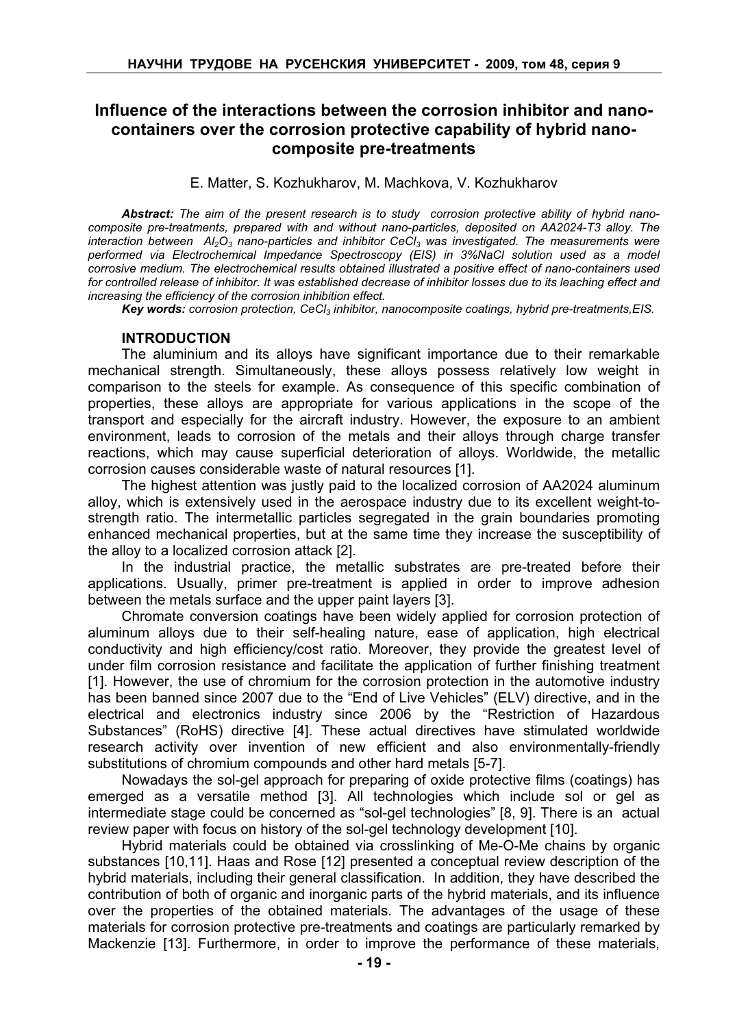# Influence of the interactions between the corrosion inhibitor and nanocontainers over the corrosion protective capability of hybrid nanocomposite pre-treatments

# E. Matter, S. Kozhukharov, M. Machkova, V. Kozhukharov

Abstract: The aim of the present research is to study corrosion protective ability of hybrid nanocomposite pre-treatments, prepared with and without nano-particles, deposited on AA2024-T3 alloy. The interaction between  $A/2Q_3$  nano-particles and inhibitor CeCl<sub>3</sub> was investigated. The measurements were performed via Electrochemical Impedance Spectroscopy (EIS) in 3%NaCl solution used as a model corrosive medium. The electrochemical results obtained illustrated a positive effect of nano-containers used for controlled release of inhibitor. It was established decrease of inhibitor losses due to its leaching effect and increasing the efficiency of the corrosion inhibition effect.

Key words: corrosion protection, CeCl<sub>3</sub> inhibitor, nanocomposite coatings, hybrid pre-treatments, EIS.

#### INTRODUCTION

The aluminium and its alloys have significant importance due to their remarkable mechanical strength. Simultaneously, these alloys possess relatively low weight in comparison to the steels for example. As consequence of this specific combination of properties, these alloys are appropriate for various applications in the scope of the transport and especially for the aircraft industry. However, the exposure to an ambient environment, leads to corrosion of the metals and their alloys through charge transfer reactions, which may cause superficial deterioration of alloys. Worldwide, the metallic corrosion causes considerable waste of natural resources [1].

The highest attention was justly paid to the localized corrosion of AA2024 aluminum alloy, which is extensively used in the aerospace industry due to its excellent weight-tostrength ratio. The intermetallic particles segregated in the grain boundaries promoting enhanced mechanical properties, but at the same time they increase the susceptibility of the alloy to a localized corrosion attack [2].

In the industrial practice, the metallic substrates are pre-treated before their applications. Usually, primer pre-treatment is applied in order to improve adhesion between the metals surface and the upper paint layers [3].

Chromate conversion coatings have been widely applied for corrosion protection of aluminum alloys due to their self-healing nature, ease of application, high electrical conductivity and high efficiency/cost ratio. Moreover, they provide the greatest level of under film corrosion resistance and facilitate the application of further finishing treatment [1]. However, the use of chromium for the corrosion protection in the automotive industry has been banned since 2007 due to the "End of Live Vehicles" (ELV) directive, and in the electrical and electronics industry since 2006 by the "Restriction of Hazardous Substances" (RoHS) directive [4]. These actual directives have stimulated worldwide research activity over invention of new efficient and also environmentally-friendly substitutions of chromium compounds and other hard metals [5-7].

Nowadays the sol-gel approach for preparing of oxide protective films (coatings) has emerged as a versatile method [3]. All technologies which include sol or gel as intermediate stage could be concerned as "sol-gel technologies" [8, 9]. There is an actual review paper with focus on history of the sol-gel technology development [10].

Hybrid materials could be obtained via crosslinking of Me-O-Me chains by organic substances [10,11]. Haas and Rose [12] presented a conceptual review description of the hybrid materials, including their general classification. In addition, they have described the contribution of both of organic and inorganic parts of the hybrid materials, and its influence over the properties of the obtained materials. The advantages of the usage of these materials for corrosion protective pre-treatments and coatings are particularly remarked by Mackenzie [13]. Furthermore, in order to improve the performance of these materials,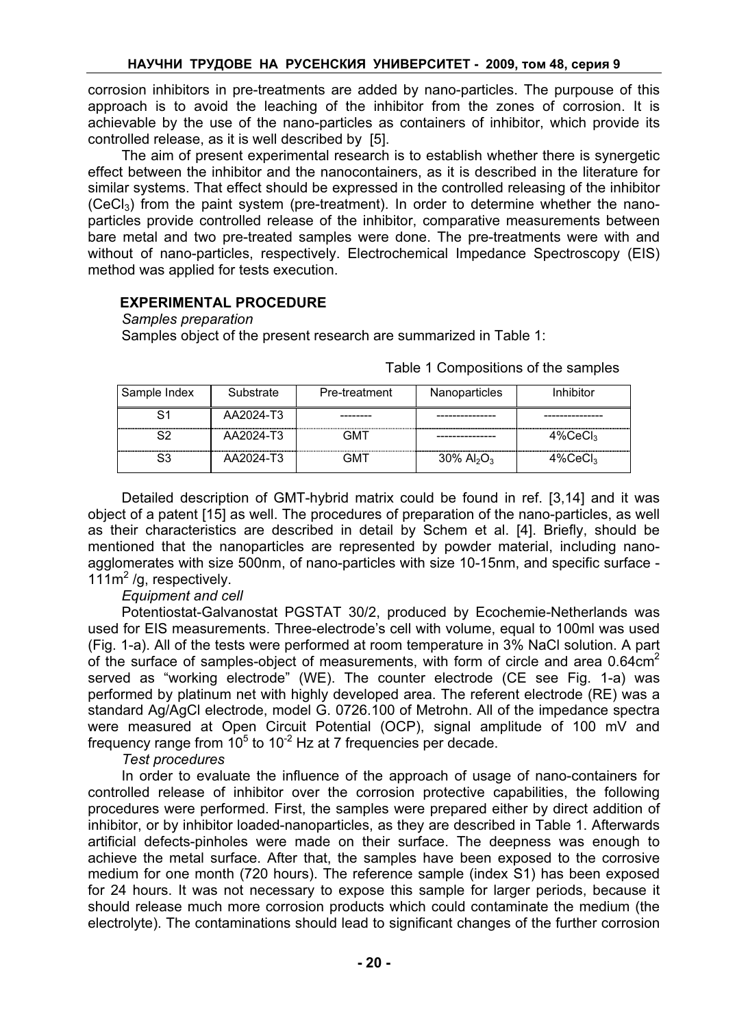corrosion inhibitors in pre-treatments are added by nano-particles. The purpouse of this approach is to avoid the leaching of the inhibitor from the zones of corrosion. It is achievable by the use of the nano-particles as containers of inhibitor, which provide its controlled release, as it is well described by [5].

The aim of present experimental research is to establish whether there is synergetic effect between the inhibitor and the nanocontainers, as it is described in the literature for similar systems. That effect should be expressed in the controlled releasing of the inhibitor  $(CeCl<sub>3</sub>)$  from the paint system (pre-treatment). In order to determine whether the nanoparticles provide controlled release of the inhibitor, comparative measurements between bare metal and two pre-treated samples were done. The pre-treatments were with and without of nano-particles, respectively. Electrochemical Impedance Spectroscopy (EIS) method was applied for tests execution.

# EXPERIMENTAL PROCEDURE

Samples preparation

Samples object of the present research are summarized in Table 1:

| Sample Index | Substrate | Pre-treatment | Nanoparticles                         | Inhibitor               |
|--------------|-----------|---------------|---------------------------------------|-------------------------|
| S1           | AA2024-T3 |               |                                       |                         |
| S2           | AA2024-T3 | GMT           |                                       | 4%CeCl3                 |
| S3           | AA2024-T3 | GMT           | $30\%$ Al <sub>2</sub> O <sub>3</sub> | $4\%$ CeCl <sub>3</sub> |

Table 1 Compositions of the samples

Detailed description of GMT-hybrid matrix could be found in ref. [3,14] and it was object of a patent [15] as well. The procedures of preparation of the nano-particles, as well as their characteristics are described in detail by Schem et al. [4]. Briefly, should be mentioned that the nanoparticles are represented by powder material, including nanoagglomerates with size 500nm, of nano-particles with size 10-15nm, and specific surface - 111m<sup>2</sup>/g, respectively.

Equipment and cell

Potentiostat-Galvanostat PGSTAT 30/2, produced by Ecochemie-Netherlands was used for EIS measurements. Three-electrode's cell with volume, equal to 100ml was used (Fig. 1-a). All of the tests were performed at room temperature in 3% NaCl solution. A part of the surface of samples-object of measurements, with form of circle and area  $0.64 \text{cm}^2$ served as "working electrode" (WE). The counter electrode (CE see Fig. 1-a) was performed by platinum net with highly developed area. The referent electrode (RE) was a standard Ag/AgCl electrode, model G. 0726.100 of Metrohn. All of the impedance spectra were measured at Open Circuit Potential (OCP), signal amplitude of 100 mV and frequency range from 10 $\degree$  to 10<sup>-2</sup> Hz at 7 frequencies per decade.

Test procedures

In order to evaluate the influence of the approach of usage of nano-containers for controlled release of inhibitor over the corrosion protective capabilities, the following procedures were performed. First, the samples were prepared either by direct addition of inhibitor, or by inhibitor loaded-nanoparticles, as they are described in Table 1. Afterwards artificial defects-pinholes were made on their surface. The deepness was enough to achieve the metal surface. After that, the samples have been exposed to the corrosive medium for one month (720 hours). The reference sample (index S1) has been exposed for 24 hours. It was not necessary to expose this sample for larger periods, because it should release much more corrosion products which could contaminate the medium (the electrolyte). The contaminations should lead to significant changes of the further corrosion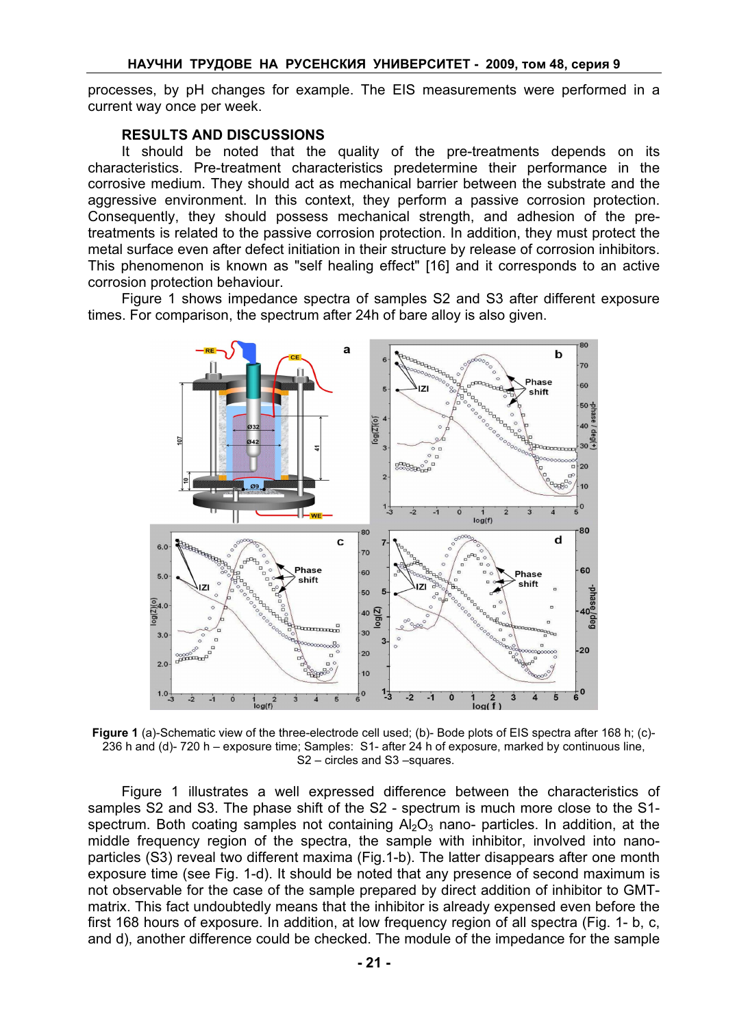processes, by pH changes for example. The EIS measurements were performed in a current way once per week.

#### RESULTS AND DISCUSSIONS

It should be noted that the quality of the pre-treatments depends on its characteristics. Pre-treatment characteristics predetermine their performance in the corrosive medium. They should act as mechanical barrier between the substrate and the aggressive environment. In this context, they perform a passive corrosion protection. Consequently, they should possess mechanical strength, and adhesion of the pretreatments is related to the passive corrosion protection. In addition, they must protect the metal surface even after defect initiation in their structure by release of corrosion inhibitors. This phenomenon is known as "self healing effect" [16] and it corresponds to an active corrosion protection behaviour.

Figure 1 shows impedance spectra of samples S2 and S3 after different exposure times. For comparison, the spectrum after 24h of bare alloy is also given.



Figure 1 (a)-Schematic view of the three-electrode cell used; (b)- Bode plots of EIS spectra after 168 h; (c)-236 h and (d)- 720 h – exposure time; Samples: S1- after 24 h of exposure, marked by continuous line, S<sub>2</sub> – circles and S<sub>3</sub> – squares.

Figure 1 illustrates a well expressed difference between the characteristics of samples S2 and S3. The phase shift of the S2 - spectrum is much more close to the S1 spectrum. Both coating samples not containing  $A_2O_3$  nano- particles. In addition, at the middle frequency region of the spectra, the sample with inhibitor, involved into nanoparticles (S3) reveal two different maxima (Fig.1-b). The latter disappears after one month exposure time (see Fig. 1-d). It should be noted that any presence of second maximum is not observable for the case of the sample prepared by direct addition of inhibitor to GMTmatrix. This fact undoubtedly means that the inhibitor is already expensed even before the first 168 hours of exposure. In addition, at low frequency region of all spectra (Fig. 1- b, c, and d), another difference could be checked. The module of the impedance for the sample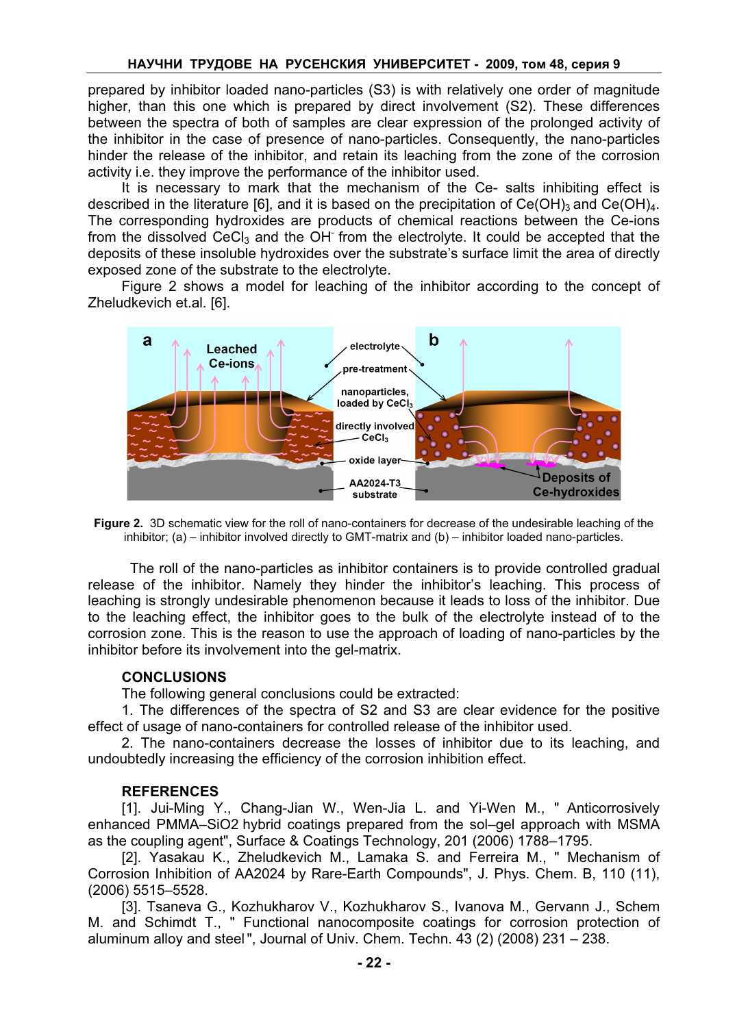prepared by inhibitor loaded nano-particles (S3) is with relatively one order of magnitude higher, than this one which is prepared by direct involvement (S2). These differences between the spectra of both of samples are clear expression of the prolonged activity of the inhibitor in the case of presence of nano-particles. Consequently, the nano-particles hinder the release of the inhibitor, and retain its leaching from the zone of the corrosion activity i.e. they improve the performance of the inhibitor used.

It is necessary to mark that the mechanism of the Ce- salts inhibiting effect is described in the literature [6], and it is based on the precipitation of Ce(OH)3 and Ce(OH) $_4$ . The corresponding hydroxides are products of chemical reactions between the Ce-ions from the dissolved CeCl<sub>3</sub> and the OH<sup>-</sup> from the electrolyte. It could be accepted that the deposits of these insoluble hydroxides over the substrate's surface limit the area of directly exposed zone of the substrate to the electrolyte.

Figure 2 shows a model for leaching of the inhibitor according to the concept of Zheludkevich et.al. [6].



Figure 2. 3D schematic view for the roll of nano-containers for decrease of the undesirable leaching of the inhibitor; (a) – inhibitor involved directly to GMT-matrix and (b) – inhibitor loaded nano-particles.

The roll of the nano-particles as inhibitor containers is to provide controlled gradual release of the inhibitor. Namely they hinder the inhibitor's leaching. This process of leaching is strongly undesirable phenomenon because it leads to loss of the inhibitor. Due to the leaching effect, the inhibitor goes to the bulk of the electrolyte instead of to the corrosion zone. This is the reason to use the approach of loading of nano-particles by the inhibitor before its involvement into the gel-matrix.

# **CONCLUSIONS**

The following general conclusions could be extracted:

1. The differences of the spectra of S2 and S3 are clear evidence for the positive effect of usage of nano-containers for controlled release of the inhibitor used.

2. The nano-containers decrease the losses of inhibitor due to its leaching, and undoubtedly increasing the efficiency of the corrosion inhibition effect.

# REFERENCES

[1]. Jui-Ming Y., Chang-Jian W., Wen-Jia L. and Yi-Wen M., " Anticorrosively enhanced PMMA–SiO2 hybrid coatings prepared from the sol–gel approach with MSMA as the coupling agent", Surface & Coatings Technology, 201 (2006) 1788–1795.

[2]. Yasakau K., Zheludkevich M., Lamaka S. and Ferreira M., " Mechanism of Corrosion Inhibition of AA2024 by Rare-Earth Compounds", J. Phys. Chem. B, 110 (11), (2006) 5515–5528.

[3]. Tsaneva G., Kozhukharov V., Kozhukharov S., Ivanova M., Gervann J., Schem M. and Schimdt T., " Functional nanocomposite coatings for corrosion protection of aluminum alloy and steel", Journal of Univ. Chem. Techn. 43 (2) (2008) 231 – 238.